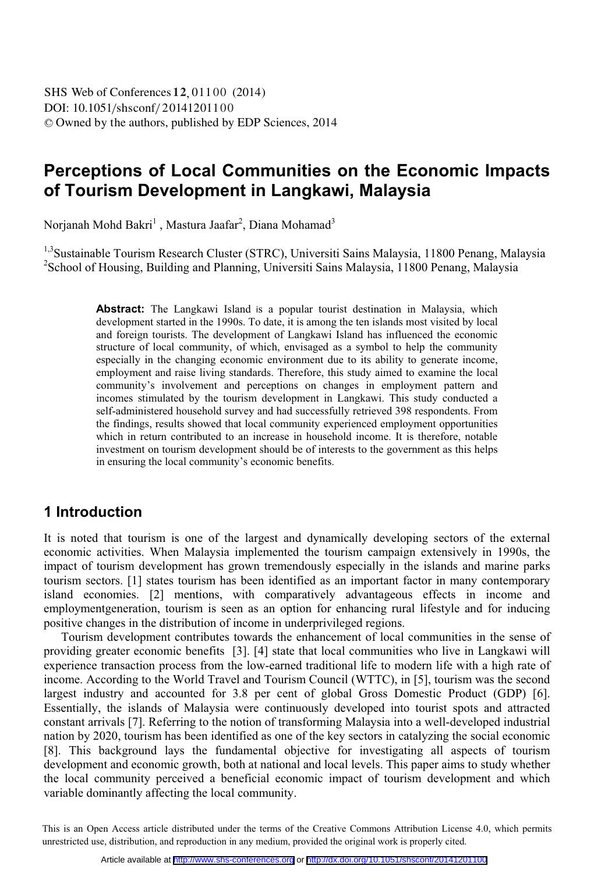DOI: 10.1051/ shsconf/201412011 0 0 -<sup>C</sup> Owned by the authors, published by EDP Sciences, 2014 SHS Web of Conferences 12, 01100 (2014)

# **Perceptions of Local Communities on the Economic Impacts of Tourism Development in Langkawi, Malaysia**

Norjanah Mohd Bakri $^1$  , Mastura Jaafar $^2$ , Diana Mohamad $^3$ 

<sup>1,3</sup>Sustainable Tourism Research Cluster (STRC), Universiti Sains Malaysia, 11800 Penang, Malaysia <sup>2</sup> School of Housing, Building and Planning, Universiti Sains Malaysia, 11800 Penang, Malaysia

> Abstract: The Langkawi Island is a popular tourist destination in Malaysia, which development started in the 1990s. To date, it is among the ten islands most visited by local and foreign tourists. The development of Langkawi Island has influenced the economic structure of local community, of which, envisaged as a symbol to help the community especially in the changing economic environment due to its ability to generate income, employment and raise living standards. Therefore, this study aimed to examine the local community's involvement and perceptions on changes in employment pattern and incomes stimulated by the tourism development in Langkawi. This study conducted a self-administered household survey and had successfully retrieved 398 respondents. From the findings, results showed that local community experienced employment opportunities which in return contributed to an increase in household income. It is therefore, notable investment on tourism development should be of interests to the government as this helps in ensuring the local community's economic benefits.

## **1 Introduction**

It is noted that tourism is one of the largest and dynamically developing sectors of the external economic activities. When Malaysia implemented the tourism campaign extensively in 1990s, the impact of tourism development has grown tremendously especially in the islands and marine parks tourism sectors. [1] states tourism has been identified as an important factor in many contemporary island economies. [2] mentions, with comparatively advantageous effects in income and employmentgeneration, tourism is seen as an option for enhancing rural lifestyle and for inducing positive changes in the distribution of income in underprivileged regions.

Tourism development contributes towards the enhancement of local communities in the sense of providing greater economic benefits [3]. [4] state that local communities who live in Langkawi will experience transaction process from the low-earned traditional life to modern life with a high rate of income. According to the World Travel and Tourism Council (WTTC), in [5], tourism was the second largest industry and accounted for 3.8 per cent of global Gross Domestic Product (GDP) [6]. Essentially, the islands of Malaysia were continuously developed into tourist spots and attracted constant arrivals [7]. Referring to the notion of transforming Malaysia into a well-developed industrial nation by 2020, tourism has been identified as one of the key sectors in catalyzing the social economic [8]. This background lays the fundamental objective for investigating all aspects of tourism development and economic growth, both at national and local levels. This paper aims to study whether the local community perceived a beneficial economic impact of tourism development and which variable dominantly affecting the local community.

 This is an Open Access article distributed under the terms of the Creative Commons Attribution License 4.0, which permits unrestricted use, distribution, and reproduction in any medium, provided the original work is properly cited.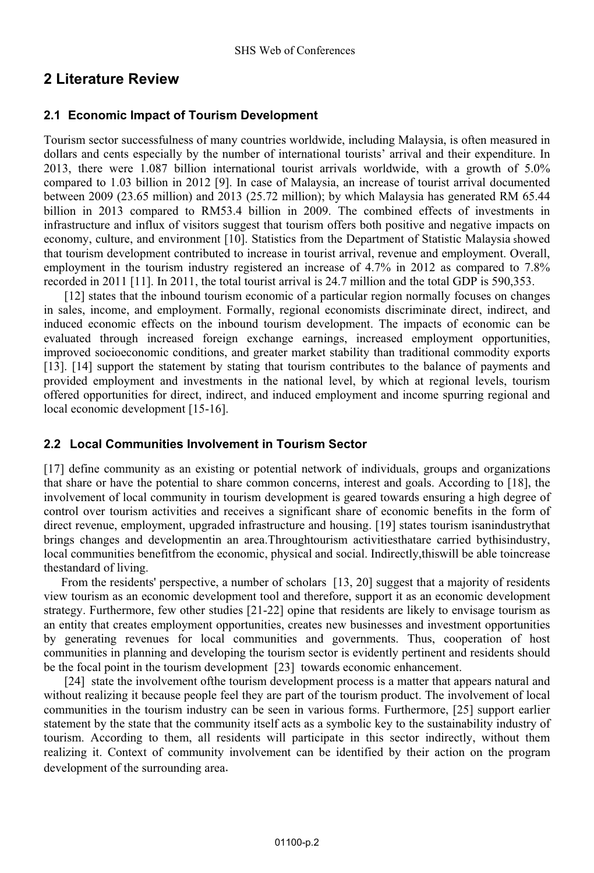## **2 Literature Review**

### **2.1 Economic Impact of Tourism Development**

Tourism sector successfulness of many countries worldwide, including Malaysia, is often measured in dollars and cents especially by the number of international tourists' arrival and their expenditure. In 2013, there were 1.087 billion international tourist arrivals worldwide, with a growth of 5.0% compared to 1.03 billion in 2012 [9]. In case of Malaysia, an increase of tourist arrival documented between 2009 (23.65 million) and 2013 (25.72 million); by which Malaysia has generated RM 65.44 billion in 2013 compared to RM53.4 billion in 2009. The combined effects of investments in infrastructure and influx of visitors suggest that tourism offers both positive and negative impacts on economy, culture, and environment [10]. Statistics from the Department of Statistic Malaysia showed that tourism development contributed to increase in tourist arrival, revenue and employment. Overall, employment in the tourism industry registered an increase of 4.7% in 2012 as compared to 7.8% recorded in 2011 [11]. In 2011, the total tourist arrival is 24.7 million and the total GDP is 590,353.

 [12] states that the inbound tourism economic of a particular region normally focuses on changes in sales, income, and employment. Formally, regional economists discriminate direct, indirect, and induced economic effects on the inbound tourism development. The impacts of economic can be evaluated through increased foreign exchange earnings, increased employment opportunities, improved socioeconomic conditions, and greater market stability than traditional commodity exports [13]. [14] support the statement by stating that tourism contributes to the balance of payments and provided employment and investments in the national level, by which at regional levels, tourism offered opportunities for direct, indirect, and induced employment and income spurring regional and local economic development [15-16].

### **2.2 Local Communities Involvement in Tourism Sector**

[17] define community as an existing or potential network of individuals, groups and organizations that share or have the potential to share common concerns, interest and goals. According to [18], the involvement of local community in tourism development is geared towards ensuring a high degree of control over tourism activities and receives a significant share of economic benefits in the form of direct revenue, employment, upgraded infrastructure and housing. [19] states tourism isanindustrythat brings changes and developmentin an area.Throughtourism activitiesthatare carried bythisindustry, local communities benefitfrom the economic, physical and social. Indirectly,thiswill be able toincrease thestandard of living.

From the residents' perspective, a number of scholars [13, 20] suggest that a majority of residents view tourism as an economic development tool and therefore, support it as an economic development strategy. Furthermore, few other studies [21-22] opine that residents are likely to envisage tourism as an entity that creates employment opportunities, creates new businesses and investment opportunities by generating revenues for local communities and governments. Thus, cooperation of host communities in planning and developing the tourism sector is evidently pertinent and residents should be the focal point in the tourism development [23] towards economic enhancement.

 [24] state the involvement ofthe tourism development process is a matter that appears natural and without realizing it because people feel they are part of the tourism product. The involvement of local communities in the tourism industry can be seen in various forms. Furthermore, [25] support earlier statement by the state that the community itself acts as a symbolic key to the sustainability industry of tourism. According to them, all residents will participate in this sector indirectly, without them realizing it. Context of community involvement can be identified by their action on the program development of the surrounding area.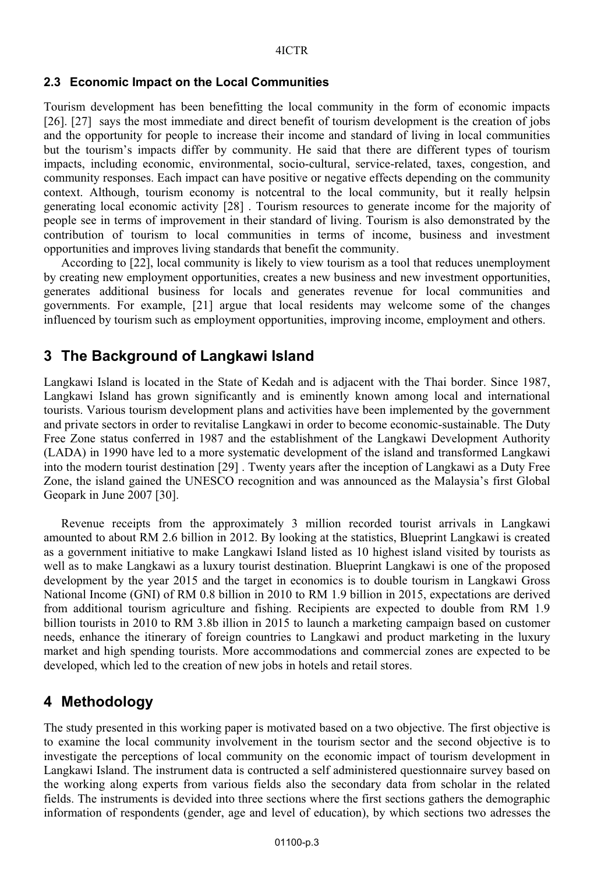### **2.3 Economic Impact on the Local Communities**

Tourism development has been benefitting the local community in the form of economic impacts [26]. [27] says the most immediate and direct benefit of tourism development is the creation of jobs and the opportunity for people to increase their income and standard of living in local communities but the tourism's impacts differ by community. He said that there are different types of tourism impacts, including economic, environmental, socio-cultural, service-related, taxes, congestion, and community responses. Each impact can have positive or negative effects depending on the community context. Although, tourism economy is notcentral to the local community, but it really helpsin generating local economic activity [28] . Tourism resources to generate income for the majority of people see in terms of improvement in their standard of living. Tourism is also demonstrated by the contribution of tourism to local communities in terms of income, business and investment opportunities and improves living standards that benefit the community.

According to [22], local community is likely to view tourism as a tool that reduces unemployment by creating new employment opportunities, creates a new business and new investment opportunities, generates additional business for locals and generates revenue for local communities and governments. For example, [21] argue that local residents may welcome some of the changes influenced by tourism such as employment opportunities, improving income, employment and others.

### **3 The Background of Langkawi Island**

Langkawi Island is located in the State of Kedah and is adjacent with the Thai border. Since 1987, Langkawi Island has grown significantly and is eminently known among local and international tourists. Various tourism development plans and activities have been implemented by the government and private sectors in order to revitalise Langkawi in order to become economic-sustainable. The Duty Free Zone status conferred in 1987 and the establishment of the Langkawi Development Authority (LADA) in 1990 have led to a more systematic development of the island and transformed Langkawi into the modern tourist destination [29] . Twenty years after the inception of Langkawi as a Duty Free Zone, the island gained the UNESCO recognition and was announced as the Malaysia's first Global Geopark in June 2007 [30].

Revenue receipts from the approximately 3 million recorded tourist arrivals in Langkawi amounted to about RM 2.6 billion in 2012. By looking at the statistics, Blueprint Langkawi is created as a government initiative to make Langkawi Island listed as 10 highest island visited by tourists as well as to make Langkawi as a luxury tourist destination. Blueprint Langkawi is one of the proposed development by the year 2015 and the target in economics is to double tourism in Langkawi Gross National Income (GNI) of RM 0.8 billion in 2010 to RM 1.9 billion in 2015, expectations are derived from additional tourism agriculture and fishing. Recipients are expected to double from RM 1.9 billion tourists in 2010 to RM 3.8b illion in 2015 to launch a marketing campaign based on customer needs, enhance the itinerary of foreign countries to Langkawi and product marketing in the luxury market and high spending tourists. More accommodations and commercial zones are expected to be developed, which led to the creation of new jobs in hotels and retail stores.

## **4 Methodology**

The study presented in this working paper is motivated based on a two objective. The first objective is to examine the local community involvement in the tourism sector and the second objective is to investigate the perceptions of local community on the economic impact of tourism development in Langkawi Island. The instrument data is contructed a self administered questionnaire survey based on the working along experts from various fields also the secondary data from scholar in the related fields. The instruments is devided into three sections where the first sections gathers the demographic information of respondents (gender, age and level of education), by which sections two adresses the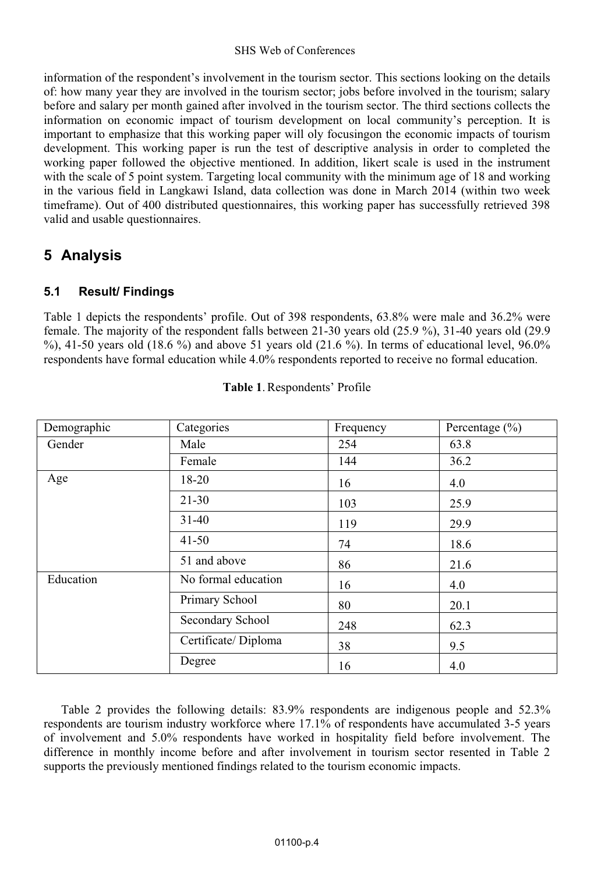### SHS Web of Conferences

information of the respondent's involvement in the tourism sector. This sections looking on the details of: how many year they are involved in the tourism sector; jobs before involved in the tourism; salary before and salary per month gained after involved in the tourism sector. The third sections collects the information on economic impact of tourism development on local community's perception. It is important to emphasize that this working paper will oly focusingon the economic impacts of tourism development. This working paper is run the test of descriptive analysis in order to completed the working paper followed the objective mentioned. In addition, likert scale is used in the instrument with the scale of 5 point system. Targeting local community with the minimum age of 18 and working in the various field in Langkawi Island, data collection was done in March 2014 (within two week timeframe). Out of 400 distributed questionnaires, this working paper has successfully retrieved 398 valid and usable questionnaires.

## **5 Analysis**

## **5.1 Result/ Findings**

Table 1 depicts the respondents' profile. Out of 398 respondents, 63.8% were male and 36.2% were female. The majority of the respondent falls between 21-30 years old (25.9 %), 31-40 years old (29.9  $\%$ ), 41-50 years old (18.6 %) and above 51 years old (21.6 %). In terms of educational level, 96.0% respondents have formal education while 4.0% respondents reported to receive no formal education.

| Demographic | Categories          | Frequency | Percentage $(\% )$ |
|-------------|---------------------|-----------|--------------------|
| Gender      | Male                | 254       | 63.8               |
|             | Female              | 144       | 36.2               |
| Age         | 18-20               | 16        | 4.0                |
|             | $21 - 30$           | 103       | 25.9               |
|             | $31 - 40$           | 119       | 29.9               |
|             | $41 - 50$           | 74        | 18.6               |
|             | 51 and above        | 86        | 21.6               |
| Education   | No formal education | 16        | 4.0                |
|             | Primary School      | 80        | 20.1               |
|             | Secondary School    | 248       | 62.3               |
|             | Certificate/Diploma | 38        | 9.5                |
|             | Degree              | 16        | 4.0                |

|  | Table 1. Respondents' Profile |  |
|--|-------------------------------|--|
|--|-------------------------------|--|

Table 2 provides the following details: 83.9% respondents are indigenous people and 52.3% respondents are tourism industry workforce where 17.1% of respondents have accumulated 3-5 years of involvement and 5.0% respondents have worked in hospitality field before involvement. The difference in monthly income before and after involvement in tourism sector resented in Table 2 supports the previously mentioned findings related to the tourism economic impacts.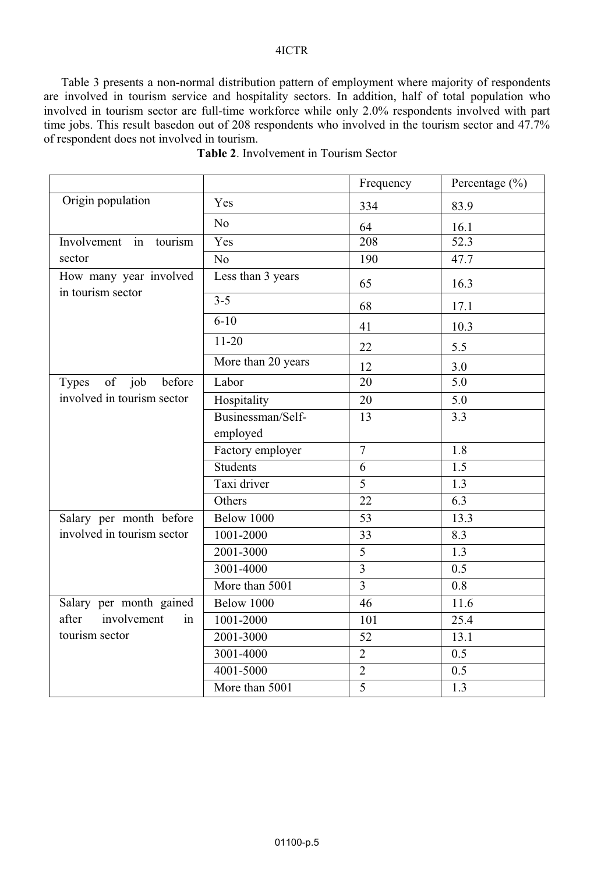### 4ICTR

Table 3 presents a non-normal distribution pattern of employment where majority of respondents are involved in tourism service and hospitality sectors. In addition, half of total population who involved in tourism sector are full-time workforce while only 2.0% respondents involved with part time jobs. This result basedon out of 208 respondents who involved in the tourism sector and 47.7% of respondent does not involved in tourism.

|                                             |                    | Frequency               | Percentage $(\% )$ |
|---------------------------------------------|--------------------|-------------------------|--------------------|
| Origin population                           | Yes                | 334                     | 83.9               |
|                                             | N <sub>o</sub>     | 64                      | 16.1               |
| Involvement in tourism                      | $\overline{Yes}$   | 208                     | 52.3               |
| sector                                      | No                 | 190                     | 47.7               |
| How many year involved<br>in tourism sector | Less than 3 years  | 65                      | 16.3               |
|                                             | $3 - 5$            | 68                      | 17.1               |
|                                             | $6 - 10$           | 41                      | 10.3               |
|                                             | $11 - 20$          | 22                      | 5.5                |
|                                             | More than 20 years | 12                      | 3.0                |
| of job before<br>Types                      | Labor              | 20                      | $\overline{5.0}$   |
| involved in tourism sector                  | Hospitality        | 20                      | 5.0                |
|                                             | Businessman/Self-  | 13                      | 3.3                |
|                                             | employed           |                         |                    |
|                                             | Factory employer   | $\overline{7}$          | 1.8                |
|                                             | <b>Students</b>    | 6                       | $\overline{1.5}$   |
|                                             | Taxi driver        | 5                       | 1.3                |
|                                             | Others             | 22                      | $\overline{6.3}$   |
| Salary per month before                     | Below 1000         | 53                      | 13.3               |
| involved in tourism sector                  | 1001-2000          | 33                      | 8.3                |
|                                             | 2001-3000          | $\overline{5}$          | $\overline{1.3}$   |
|                                             | 3001-4000          | $\overline{\mathbf{3}}$ | 0.5                |
|                                             | More than 5001     | $\overline{3}$          | $\overline{0.8}$   |
| Salary per month gained                     | Below 1000         | 46                      | 11.6               |
| after<br>involvement<br>in                  | 1001-2000          | 101                     | 25.4               |
| tourism sector                              | 2001-3000          | 52                      | 13.1               |
|                                             | 3001-4000          | $\sqrt{2}$              | 0.5                |
|                                             | 4001-5000          | $\overline{2}$          | $\overline{0.5}$   |
|                                             | More than 5001     | 5                       | 1.3                |

| Table 2. Involvement in Tourism Sector |  |
|----------------------------------------|--|
|----------------------------------------|--|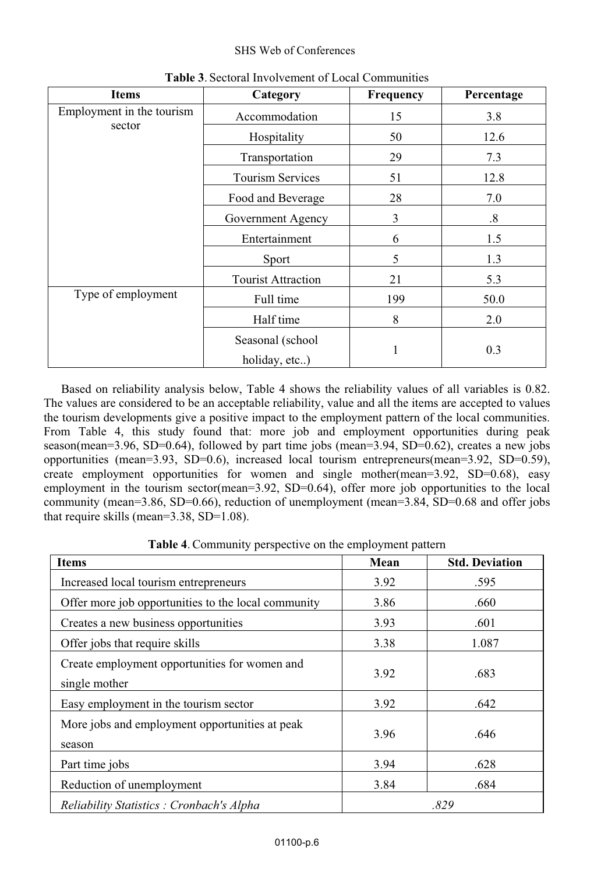### SHS Web of Conferences

| <b>Items</b>                        | Category                          | Frequency | Percentage        |
|-------------------------------------|-----------------------------------|-----------|-------------------|
| Employment in the tourism<br>sector | Accommodation                     | 15        | 3.8               |
|                                     | Hospitality                       | 50        | 12.6              |
|                                     | Transportation                    | 29        | 7.3               |
|                                     | <b>Tourism Services</b>           | 51        | 12.8              |
|                                     | Food and Beverage                 | 28        | 7.0               |
|                                     | Government Agency                 | 3         | $\boldsymbol{.8}$ |
|                                     | Entertainment                     | 6         | 1.5               |
|                                     | Sport                             | 5         | 1.3               |
|                                     | <b>Tourist Attraction</b>         | 21        | 5.3               |
| Type of employment                  | Full time                         | 199       | 50.0              |
|                                     | Half time                         | 8         | 2.0               |
|                                     | Seasonal (school<br>holiday, etc) | 1         | 0.3               |

**Table 3**. Sectoral Involvement of Local Communities

Based on reliability analysis below, Table 4 shows the reliability values of all variables is 0.82. The values are considered to be an acceptable reliability, value and all the items are accepted to values the tourism developments give a positive impact to the employment pattern of the local communities. From Table 4, this study found that: more job and employment opportunities during peak season(mean=3.96, SD=0.64), followed by part time jobs (mean=3.94, SD=0.62), creates a new jobs opportunities (mean=3.93, SD=0.6), increased local tourism entrepreneurs(mean=3.92, SD=0.59), create employment opportunities for women and single mother(mean=3.92, SD=0.68), easy employment in the tourism sector(mean=3.92, SD=0.64), offer more job opportunities to the local community (mean=3.86, SD=0.66), reduction of unemployment (mean=3.84, SD=0.68 and offer jobs that require skills (mean=3.38, SD=1.08).

**Table 4**. Community perspective on the employment pattern

| <b>Items</b>                                                   | Mean | <b>Std. Deviation</b> |
|----------------------------------------------------------------|------|-----------------------|
| Increased local tourism entrepreneurs                          | 3.92 | .595                  |
| Offer more job opportunities to the local community            | 3.86 | .660                  |
| Creates a new business opportunities                           | 3.93 | .601                  |
| Offer jobs that require skills                                 | 3.38 | 1.087                 |
| Create employment opportunities for women and<br>single mother | 3.92 | .683                  |
| Easy employment in the tourism sector                          | 3.92 | .642                  |
| More jobs and employment opportunities at peak<br>season       | 3.96 | .646                  |
| Part time jobs                                                 | 3.94 | .628                  |
| Reduction of unemployment                                      | 3.84 | .684                  |
| Reliability Statistics : Cronbach's Alpha                      |      | .829                  |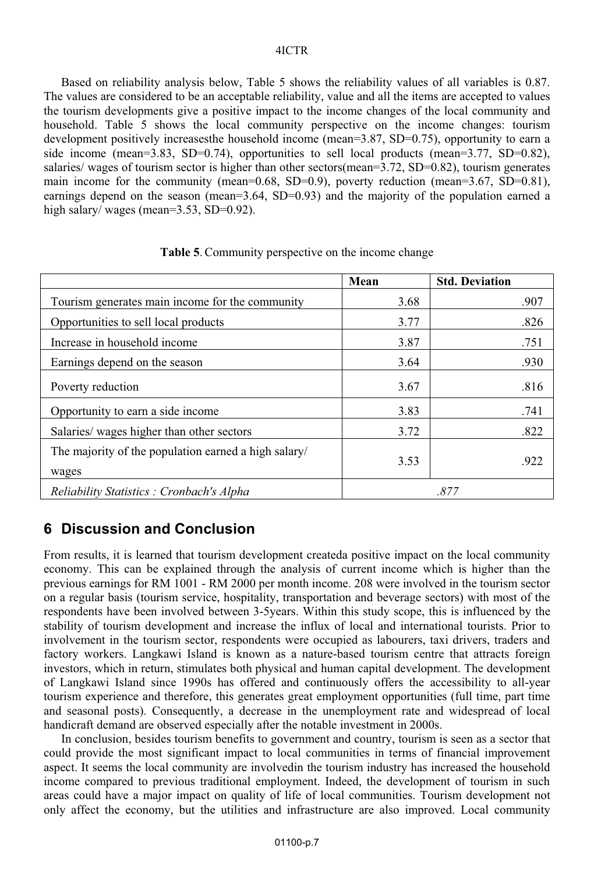#### 4ICTR

Based on reliability analysis below, Table 5 shows the reliability values of all variables is 0.87. The values are considered to be an acceptable reliability, value and all the items are accepted to values the tourism developments give a positive impact to the income changes of the local community and household. Table 5 shows the local community perspective on the income changes: tourism development positively increasesthe household income (mean=3.87, SD=0.75), opportunity to earn a side income (mean=3.83, SD=0.74), opportunities to sell local products (mean=3.77, SD=0.82), salaries/ wages of tourism sector is higher than other sectors(mean=3.72, SD=0.82), tourism generates main income for the community (mean=0.68, SD=0.9), poverty reduction (mean=3.67, SD=0.81), earnings depend on the season (mean=3.64, SD=0.93) and the majority of the population earned a high salary/ wages (mean=3.53, SD=0.92).

|                                                               | Mean | <b>Std. Deviation</b> |
|---------------------------------------------------------------|------|-----------------------|
| Tourism generates main income for the community               | 3.68 | .907                  |
| Opportunities to sell local products                          | 3.77 | .826                  |
| Increase in household income                                  | 3.87 | .751                  |
| Earnings depend on the season                                 | 3.64 | .930                  |
| Poverty reduction                                             | 3.67 | .816                  |
| Opportunity to earn a side income                             | 3.83 | .741                  |
| Salaries/wages higher than other sectors                      | 3.72 | .822                  |
| The majority of the population earned a high salary/<br>wages | 3.53 | .922                  |
| Reliability Statistics : Cronbach's Alpha                     |      | .877                  |

**Table 5**. Community perspective on the income change

# **6 Discussion and Conclusion**

From results, it is learned that tourism development createda positive impact on the local community economy. This can be explained through the analysis of current income which is higher than the previous earnings for RM 1001 - RM 2000 per month income. 208 were involved in the tourism sector on a regular basis (tourism service, hospitality, transportation and beverage sectors) with most of the respondents have been involved between 3-5years. Within this study scope, this is influenced by the stability of tourism development and increase the influx of local and international tourists. Prior to involvement in the tourism sector, respondents were occupied as labourers, taxi drivers, traders and factory workers. Langkawi Island is known as a nature-based tourism centre that attracts foreign investors, which in return, stimulates both physical and human capital development. The development of Langkawi Island since 1990s has offered and continuously offers the accessibility to all-year tourism experience and therefore, this generates great employment opportunities (full time, part time and seasonal posts). Consequently, a decrease in the unemployment rate and widespread of local handicraft demand are observed especially after the notable investment in 2000s.

In conclusion, besides tourism benefits to government and country, tourism is seen as a sector that could provide the most significant impact to local communities in terms of financial improvement aspect. It seems the local community are involvedin the tourism industry has increased the household income compared to previous traditional employment. Indeed, the development of tourism in such areas could have a major impact on quality of life of local communities. Tourism development not only affect the economy, but the utilities and infrastructure are also improved. Local community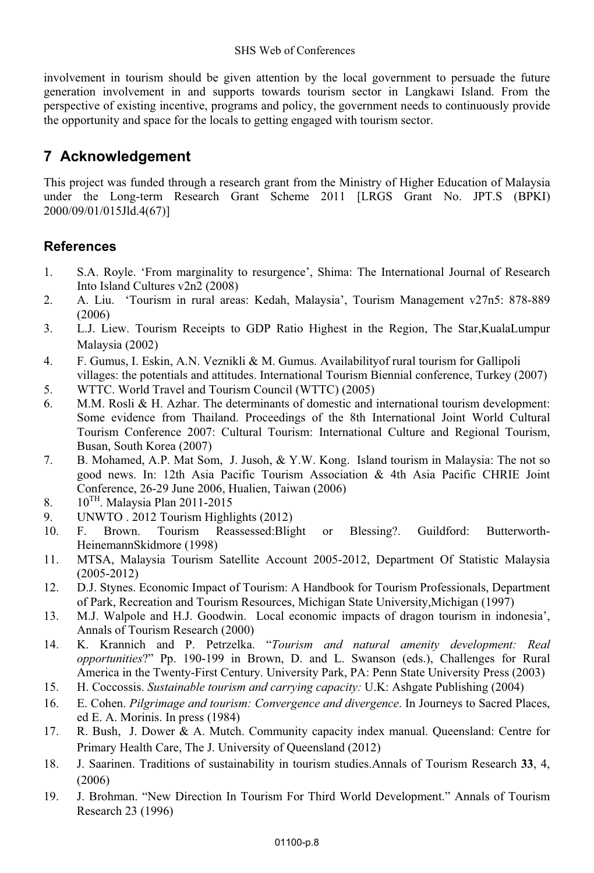involvement in tourism should be given attention by the local government to persuade the future generation involvement in and supports towards tourism sector in Langkawi Island. From the perspective of existing incentive, programs and policy, the government needs to continuously provide the opportunity and space for the locals to getting engaged with tourism sector.

# **7 Acknowledgement**

This project was funded through a research grant from the Ministry of Higher Education of Malaysia under the Long-term Research Grant Scheme 2011 [LRGS Grant No. JPT.S (BPKI) 2000/09/01/015Jld.4(67)]

## **References**

- 1. S.A. Royle. 'From marginality to resurgence', Shima: The International Journal of Research Into Island Cultures v2n2 (2008)
- 2. A. Liu. 'Tourism in rural areas: Kedah, Malaysia', Tourism Management v27n5: 878-889 (2006)
- 3. L.J. Liew. Tourism Receipts to GDP Ratio Highest in the Region, The Star,KualaLumpur Malaysia (2002)
- 4. F. Gumus, I. Eskin, A.N. Veznikli & M. Gumus. Availabilityof rural tourism for Gallipoli villages: the potentials and attitudes. International Tourism Biennial conference, Turkey (2007)
- 5. WTTC. World Travel and Tourism Council (WTTC) (2005)
- 6. M.M. Rosli  $\&$  H. Azhar. The determinants of domestic and international tourism development: Some evidence from Thailand. Proceedings of the 8th International Joint World Cultural Tourism Conference 2007: Cultural Tourism: International Culture and Regional Tourism, Busan, South Korea (2007)
- 7. B. Mohamed, A.P. Mat Som, J. Jusoh, & Y.W. Kong. Island tourism in Malaysia: The not so good news. In: 12th Asia Pacific Tourism Association & 4th Asia Pacific CHRIE Joint Conference, 26-29 June 2006, Hualien, Taiwan (2006)
- 8.  $10^{TH}$ . Malaysia Plan 2011-2015
- 9. UNWTO . 2012 Tourism Highlights (2012)
- 10. F. Brown. Tourism Reassessed:Blight or Blessing?. Guildford: Butterworth-HeinemannSkidmore (1998)
- 11. MTSA, Malaysia Tourism Satellite Account 2005-2012, Department Of Statistic Malaysia (2005-2012)
- 12. D.J. Stynes. Economic Impact of Tourism: A Handbook for Tourism Professionals, Department of Park, Recreation and Tourism Resources, Michigan State University,Michigan (1997)
- 13. M.J. Walpole and H.J. Goodwin. Local economic impacts of dragon tourism in indonesia', Annals of Tourism Research (2000)
- 14. K. Krannich and P. Petrzelka. "*Tourism and natural amenity development: Real opportunities*?" Pp. 190-199 in Brown, D. and L. Swanson (eds.), Challenges for Rural America in the Twenty-First Century. University Park, PA: Penn State University Press (2003)
- 15. H. Coccossis. *Sustainable tourism and carrying capacity:* U.K: Ashgate Publishing (2004)
- 16. E. Cohen. *Pilgrimage and tourism: Convergence and divergence*. In Journeys to Sacred Places, ed E. A. Morinis. In press (1984)
- 17. R. Bush, J. Dower & A. Mutch. Community capacity index manual. Queensland: Centre for Primary Health Care, The J. University of Queensland (2012)
- 18. J. Saarinen. Traditions of sustainability in tourism studies.Annals of Tourism Research **33**, 4, (2006)
- 19. J. Brohman. "New Direction In Tourism For Third World Development." Annals of Tourism Research 23 (1996)